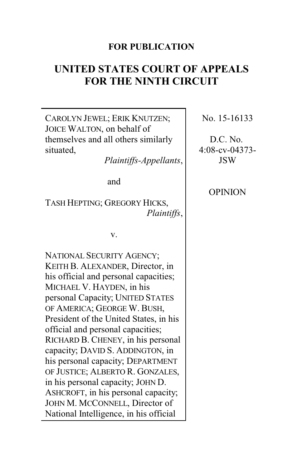# **FOR PUBLICATION**

# **UNITED STATES COURT OF APPEALS FOR THE NINTH CIRCUIT**

CAROLYN JEWEL; ERIK KNUTZEN; JOICE WALTON, on behalf of themselves and all others similarly situated, *Plaintiffs-Appellants*, and TASH HEPTING; GREGORY HICKS, *Plaintiffs*, v. NATIONAL SECURITY AGENCY; KEITH B. ALEXANDER, Director, in his official and personal capacities; MICHAEL V. HAYDEN, in his personal Capacity; UNITED STATES OF AMERICA; GEORGE W. BUSH, President of the United States, in his official and personal capacities; RICHARD B. CHENEY, in his personal capacity; DAVID S. ADDINGTON, in his personal capacity; DEPARTMENT OF JUSTICE; ALBERTO R. GONZALES, in his personal capacity; JOHN D. ASHCROFT, in his personal capacity; JOHN M. MCCONNELL, Director of National Intelligence, in his official No. 15-16133 D.C. No. JSW **OPINION** 

4:08-cv-04373-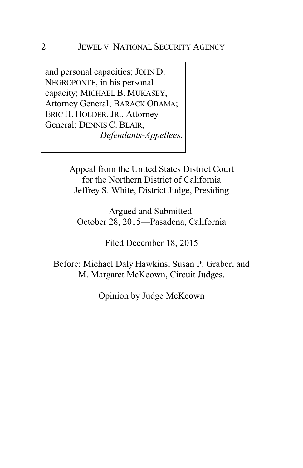and personal capacities; JOHN D. NEGROPONTE, in his personal capacity; MICHAEL B. MUKASEY, Attorney General; BARACK OBAMA; ERIC H. HOLDER, JR., Attorney General; DENNIS C. BLAIR, *Defendants-Appellees*.

> Appeal from the United States District Court for the Northern District of California Jeffrey S. White, District Judge, Presiding

Argued and Submitted October 28, 2015—Pasadena, California

Filed December 18, 2015

Before: Michael Daly Hawkins, Susan P. Graber, and M. Margaret McKeown, Circuit Judges.

Opinion by Judge McKeown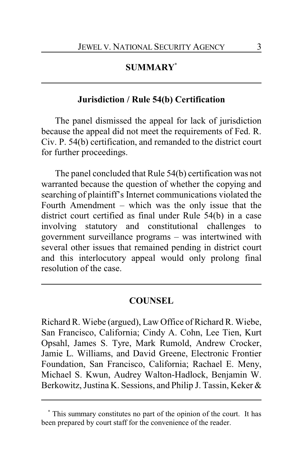# **SUMMARY\***

## **Jurisdiction / Rule 54(b) Certification**

The panel dismissed the appeal for lack of jurisdiction because the appeal did not meet the requirements of Fed. R. Civ. P. 54(b) certification, and remanded to the district court for further proceedings.

The panel concluded that Rule 54(b) certification was not warranted because the question of whether the copying and searching of plaintiff's Internet communications violated the Fourth Amendment – which was the only issue that the district court certified as final under Rule 54(b) in a case involving statutory and constitutional challenges to government surveillance programs – was intertwined with several other issues that remained pending in district court and this interlocutory appeal would only prolong final resolution of the case.

## **COUNSEL**

Richard R. Wiebe (argued), Law Office of Richard R. Wiebe, San Francisco, California; Cindy A. Cohn, Lee Tien, Kurt Opsahl, James S. Tyre, Mark Rumold, Andrew Crocker, Jamie L. Williams, and David Greene, Electronic Frontier Foundation, San Francisco, California; Rachael E. Meny, Michael S. Kwun, Audrey Walton-Hadlock, Benjamin W. Berkowitz, Justina K. Sessions, and Philip J. Tassin, Keker &

**<sup>\*</sup>** This summary constitutes no part of the opinion of the court. It has been prepared by court staff for the convenience of the reader.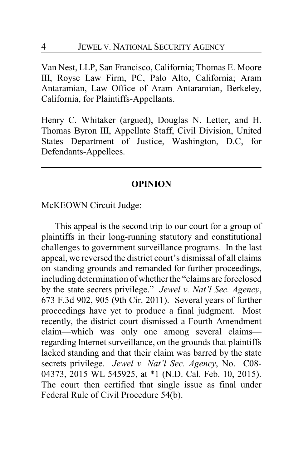Van Nest, LLP, San Francisco, California; Thomas E. Moore III, Royse Law Firm, PC, Palo Alto, California; Aram Antaramian, Law Office of Aram Antaramian, Berkeley, California, for Plaintiffs-Appellants.

Henry C. Whitaker (argued), Douglas N. Letter, and H. Thomas Byron III, Appellate Staff, Civil Division, United States Department of Justice, Washington, D.C, for Defendants-Appellees.

### **OPINION**

McKEOWN Circuit Judge:

This appeal is the second trip to our court for a group of plaintiffs in their long-running statutory and constitutional challenges to government surveillance programs. In the last appeal, we reversed the district court's dismissal of all claims on standing grounds and remanded for further proceedings, including determination of whether the "claims are foreclosed by the state secrets privilege." *Jewel v. Nat'l Sec. Agency*, 673 F.3d 902, 905 (9th Cir. 2011). Several years of further proceedings have yet to produce a final judgment. Most recently, the district court dismissed a Fourth Amendment claim—which was only one among several claims regarding Internet surveillance, on the grounds that plaintiffs lacked standing and that their claim was barred by the state secrets privilege. *Jewel v. Nat'l Sec. Agency*, No. C08- 04373, 2015 WL 545925, at \*1 (N.D. Cal. Feb. 10, 2015). The court then certified that single issue as final under Federal Rule of Civil Procedure 54(b).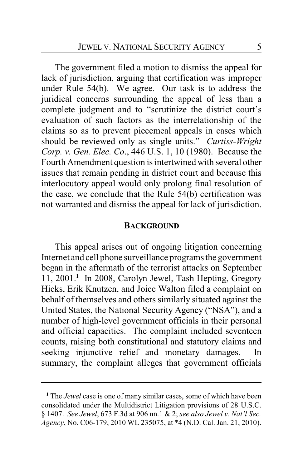The government filed a motion to dismiss the appeal for lack of jurisdiction, arguing that certification was improper under Rule 54(b). We agree. Our task is to address the juridical concerns surrounding the appeal of less than a complete judgment and to "scrutinize the district court's evaluation of such factors as the interrelationship of the claims so as to prevent piecemeal appeals in cases which should be reviewed only as single units." *Curtiss-Wright Corp. v. Gen. Elec. Co*., 446 U.S. 1, 10 (1980). Because the Fourth Amendment question is intertwined with several other issues that remain pending in district court and because this interlocutory appeal would only prolong final resolution of the case, we conclude that the Rule 54(b) certification was not warranted and dismiss the appeal for lack of jurisdiction.

#### **BACKGROUND**

This appeal arises out of ongoing litigation concerning Internet and cell phone surveillance programs the government began in the aftermath of the terrorist attacks on September 11, 2001.**<sup>1</sup>** In 2008, Carolyn Jewel, Tash Hepting, Gregory Hicks, Erik Knutzen, and Joice Walton filed a complaint on behalf of themselves and others similarly situated against the United States, the National Security Agency ("NSA"), and a number of high-level government officials in their personal and official capacities. The complaint included seventeen counts, raising both constitutional and statutory claims and seeking injunctive relief and monetary damages. In summary, the complaint alleges that government officials

**<sup>1</sup>** The *Jewel* case is one of many similar cases, some of which have been consolidated under the Multidistrict Litigation provisions of 28 U.S.C. § 1407. *See Jewel*, 673 F.3d at 906 nn.1 & 2; *see also Jewel v. Nat'l Sec. Agency*, No. C06-179, 2010 WL 235075, at \*4 (N.D. Cal. Jan. 21, 2010).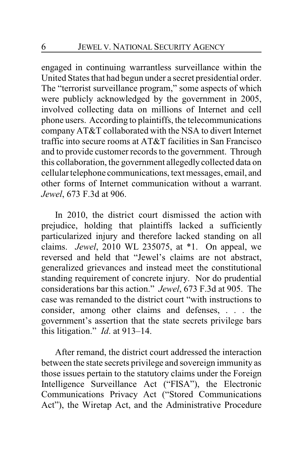engaged in continuing warrantless surveillance within the United States that had begun under a secret presidential order. The "terrorist surveillance program," some aspects of which were publicly acknowledged by the government in 2005, involved collecting data on millions of Internet and cell phone users. According to plaintiffs, the telecommunications company AT&T collaborated with the NSA to divert Internet traffic into secure rooms at AT&T facilities in San Francisco and to provide customer records to the government. Through this collaboration, the government allegedly collected data on cellular telephone communications, text messages, email, and other forms of Internet communication without a warrant. *Jewel*, 673 F.3d at 906.

In 2010, the district court dismissed the action with prejudice, holding that plaintiffs lacked a sufficiently particularized injury and therefore lacked standing on all claims. *Jewel*, 2010 WL 235075, at \*1. On appeal, we reversed and held that "Jewel's claims are not abstract, generalized grievances and instead meet the constitutional standing requirement of concrete injury. Nor do prudential considerations bar this action." *Jewel*, 673 F.3d at 905. The case was remanded to the district court "with instructions to consider, among other claims and defenses, . . . the government's assertion that the state secrets privilege bars this litigation." *Id*. at 913–14.

After remand, the district court addressed the interaction between the state secrets privilege and sovereign immunity as those issues pertain to the statutory claims under the Foreign Intelligence Surveillance Act ("FISA"), the Electronic Communications Privacy Act ("Stored Communications Act"), the Wiretap Act, and the Administrative Procedure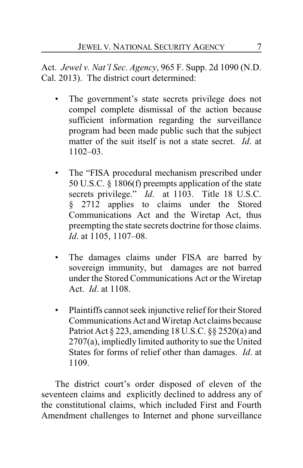Act. *Jewel v. Nat'l Sec. Agency*, 965 F. Supp. 2d 1090 (N.D. Cal. 2013). The district court determined:

- The government's state secrets privilege does not compel complete dismissal of the action because sufficient information regarding the surveillance program had been made public such that the subject matter of the suit itself is not a state secret. *Id*. at 1102–03.
- The "FISA procedural mechanism prescribed under 50 U.S.C. § 1806(f) preempts application of the state secrets privilege." *Id*. at 1103. Title 18 U.S.C. § 2712 applies to claims under the Stored Communications Act and the Wiretap Act, thus preempting the state secrets doctrine for those claims. *Id*. at 1105, 1107–08.
- The damages claims under FISA are barred by sovereign immunity, but damages are not barred under the Stored Communications Act or the Wiretap Act. *Id*. at 1108.
- Plaintiffs cannot seek injunctive relief for their Stored CommunicationsAct and Wiretap Act claims because Patriot Act § 223, amending 18 U.S.C. §§ 2520(a) and 2707(a), impliedly limited authority to sue the United States for forms of relief other than damages. *Id*. at 1109.

The district court's order disposed of eleven of the seventeen claims and explicitly declined to address any of the constitutional claims, which included First and Fourth Amendment challenges to Internet and phone surveillance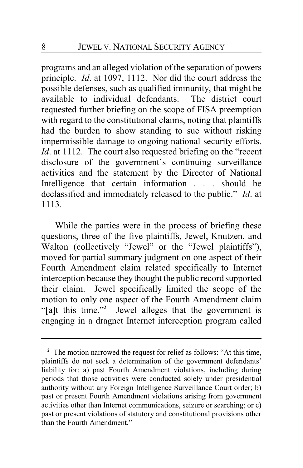programs and an alleged violation of the separation of powers principle. *Id*. at 1097, 1112. Nor did the court address the possible defenses, such as qualified immunity, that might be available to individual defendants. The district court requested further briefing on the scope of FISA preemption with regard to the constitutional claims, noting that plaintiffs had the burden to show standing to sue without risking impermissible damage to ongoing national security efforts. *Id.* at 1112. The court also requested briefing on the "recent" disclosure of the government's continuing surveillance activities and the statement by the Director of National Intelligence that certain information . . . should be declassified and immediately released to the public." *Id*. at 1113.

While the parties were in the process of briefing these questions, three of the five plaintiffs, Jewel, Knutzen, and Walton (collectively "Jewel" or the "Jewel plaintiffs"), moved for partial summary judgment on one aspect of their Fourth Amendment claim related specifically to Internet interception because they thought the public record supported their claim. Jewel specifically limited the scope of the motion to only one aspect of the Fourth Amendment claim "[a]t this time."**<sup>2</sup>** Jewel alleges that the government is engaging in a dragnet Internet interception program called

<sup>&</sup>lt;sup>2</sup> The motion narrowed the request for relief as follows: "At this time, plaintiffs do not seek a determination of the government defendants' liability for: a) past Fourth Amendment violations, including during periods that those activities were conducted solely under presidential authority without any Foreign Intelligence Surveillance Court order; b) past or present Fourth Amendment violations arising from government activities other than Internet communications, seizure or searching; or c) past or present violations of statutory and constitutional provisions other than the Fourth Amendment."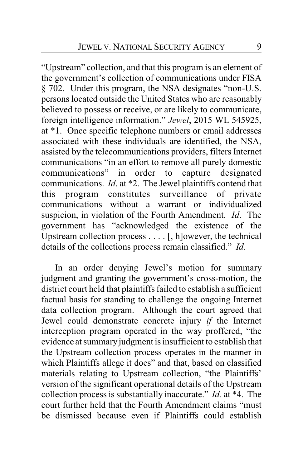"Upstream" collection, and that this program is an element of the government's collection of communications under FISA § 702. Under this program, the NSA designates "non-U.S. persons located outside the United States who are reasonably believed to possess or receive, or are likely to communicate, foreign intelligence information." *Jewel*, 2015 WL 545925, at \*1. Once specific telephone numbers or email addresses associated with these individuals are identified, the NSA, assisted by the telecommunications providers, filters Internet communications "in an effort to remove all purely domestic communications" in order to capture designated communications. *Id*. at \*2. The Jewel plaintiffs contend that this program constitutes surveillance of private communications without a warrant or individualized suspicion, in violation of the Fourth Amendment. *Id*. The government has "acknowledged the existence of the Upstream collection process . . . . [, h]owever, the technical details of the collections process remain classified." *Id.*

In an order denying Jewel's motion for summary judgment and granting the government's cross-motion, the district court held that plaintiffs failed to establish a sufficient factual basis for standing to challenge the ongoing Internet data collection program. Although the court agreed that Jewel could demonstrate concrete injury *if* the Internet interception program operated in the way proffered, "the evidence at summary judgment is insufficient to establish that the Upstream collection process operates in the manner in which Plaintiffs allege it does" and that, based on classified materials relating to Upstream collection, "the Plaintiffs' version of the significant operational details of the Upstream collection process is substantially inaccurate." *Id.* at \*4. The court further held that the Fourth Amendment claims "must be dismissed because even if Plaintiffs could establish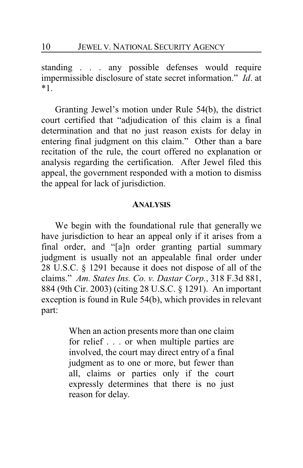standing . . . any possible defenses would require impermissible disclosure of state secret information." *Id*. at \*1.

Granting Jewel's motion under Rule 54(b), the district court certified that "adjudication of this claim is a final determination and that no just reason exists for delay in entering final judgment on this claim." Other than a bare recitation of the rule, the court offered no explanation or analysis regarding the certification. After Jewel filed this appeal, the government responded with a motion to dismiss the appeal for lack of jurisdiction.

#### **ANALYSIS**

We begin with the foundational rule that generally we have jurisdiction to hear an appeal only if it arises from a final order, and "[a]n order granting partial summary judgment is usually not an appealable final order under 28 U.S.C. § 1291 because it does not dispose of all of the claims." *Am. States Ins. Co. v. Dastar Corp.*, 318 F.3d 881, 884 (9th Cir. 2003) (citing 28 U.S.C. § 1291). An important exception is found in Rule 54(b), which provides in relevant part:

> When an action presents more than one claim for relief . . . or when multiple parties are involved, the court may direct entry of a final judgment as to one or more, but fewer than all, claims or parties only if the court expressly determines that there is no just reason for delay.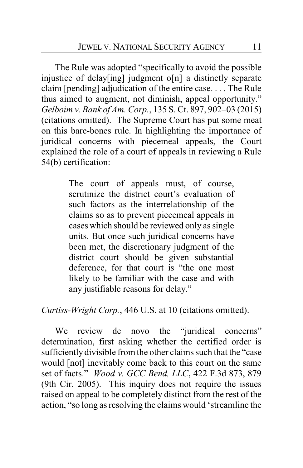The Rule was adopted "specifically to avoid the possible injustice of delay[ing] judgment o[n] a distinctly separate claim [pending] adjudication of the entire case. . . . The Rule thus aimed to augment, not diminish, appeal opportunity." *Gelboim v. Bank of Am. Corp.*, 135 S. Ct. 897, 902–03 (2015) (citations omitted). The Supreme Court has put some meat on this bare-bones rule. In highlighting the importance of juridical concerns with piecemeal appeals, the Court explained the role of a court of appeals in reviewing a Rule 54(b) certification:

> The court of appeals must, of course, scrutinize the district court's evaluation of such factors as the interrelationship of the claims so as to prevent piecemeal appeals in cases which should be reviewed only as single units. But once such juridical concerns have been met, the discretionary judgment of the district court should be given substantial deference, for that court is "the one most likely to be familiar with the case and with any justifiable reasons for delay."

*Curtiss-Wright Corp.*, 446 U.S. at 10 (citations omitted).

We review de novo the "juridical concerns" determination, first asking whether the certified order is sufficiently divisible from the other claims such that the "case would [not] inevitably come back to this court on the same set of facts." *Wood v. GCC Bend, LLC*, 422 F.3d 873, 879 (9th Cir. 2005). This inquiry does not require the issues raised on appeal to be completely distinct from the rest of the action, "so long as resolving the claims would 'streamline the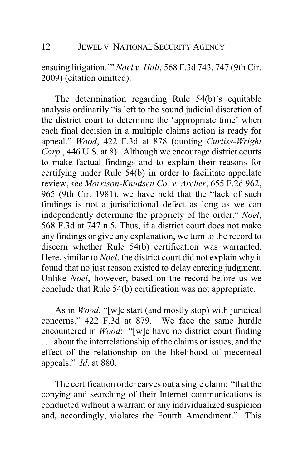ensuing litigation.'" *Noel v. Hall*, 568 F.3d 743, 747 (9th Cir. 2009) (citation omitted).

The determination regarding Rule 54(b)'s equitable analysis ordinarily "is left to the sound judicial discretion of the district court to determine the 'appropriate time' when each final decision in a multiple claims action is ready for appeal." *Wood*, 422 F.3d at 878 (quoting *Curtiss-Wright Corp.*, 446 U.S. at 8). Although we encourage district courts to make factual findings and to explain their reasons for certifying under Rule 54(b) in order to facilitate appellate review, *see Morrison-Knudsen Co. v. Archer*, 655 F.2d 962, 965 (9th Cir. 1981), we have held that the "lack of such findings is not a jurisdictional defect as long as we can independently determine the propriety of the order." *Noel*, 568 F.3d at 747 n.5. Thus, if a district court does not make any findings or give any explanation, we turn to the record to discern whether Rule 54(b) certification was warranted. Here, similar to *Noel*, the district court did not explain why it found that no just reason existed to delay entering judgment. Unlike *Noel*, however, based on the record before us we conclude that Rule 54(b) certification was not appropriate.

As in *Wood*, "[w]e start (and mostly stop) with juridical concerns." 422 F.3d at 879. We face the same hurdle encountered in *Wood*: "[w]e have no district court finding . . . about the interrelationship of the claims or issues, and the effect of the relationship on the likelihood of piecemeal appeals." *Id*. at 880.

The certification order carves out a single claim: "that the copying and searching of their Internet communications is conducted without a warrant or any individualized suspicion and, accordingly, violates the Fourth Amendment." This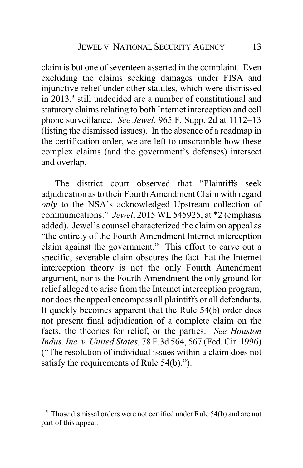claim is but one of seventeen asserted in the complaint. Even excluding the claims seeking damages under FISA and injunctive relief under other statutes, which were dismissed in 2013,**<sup>3</sup>** still undecided are a number of constitutional and statutory claims relating to both Internet interception and cell phone surveillance. *See Jewel*, 965 F. Supp. 2d at 1112–13 (listing the dismissed issues). In the absence of a roadmap in the certification order, we are left to unscramble how these complex claims (and the government's defenses) intersect and overlap.

The district court observed that "Plaintiffs seek adjudication as to their Fourth Amendment Claim with regard *only* to the NSA's acknowledged Upstream collection of communications." *Jewel*, 2015 WL 545925, at \*2 (emphasis added). Jewel's counsel characterized the claim on appeal as "the entirety of the Fourth Amendment Internet interception claim against the government." This effort to carve out a specific, severable claim obscures the fact that the Internet interception theory is not the only Fourth Amendment argument, nor is the Fourth Amendment the only ground for relief alleged to arise from the Internet interception program, nor does the appeal encompass all plaintiffs or all defendants. It quickly becomes apparent that the Rule 54(b) order does not present final adjudication of a complete claim on the facts, the theories for relief, or the parties. *See Houston Indus. Inc. v. United States*, 78 F.3d 564, 567 (Fed. Cir. 1996) ("The resolution of individual issues within a claim does not satisfy the requirements of Rule 54(b).").

**<sup>3</sup>** Those dismissal orders were not certified under Rule 54(b) and are not part of this appeal.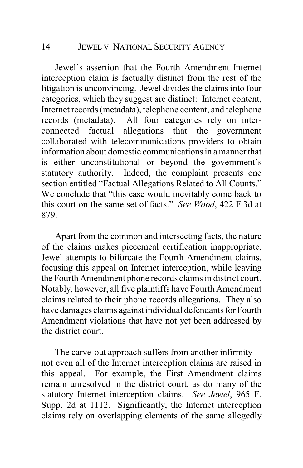Jewel's assertion that the Fourth Amendment Internet interception claim is factually distinct from the rest of the litigation is unconvincing. Jewel divides the claims into four categories, which they suggest are distinct: Internet content, Internet records (metadata), telephone content, and telephone records (metadata). All four categories rely on interconnected factual allegations that the government collaborated with telecommunications providers to obtain information about domestic communications in a manner that is either unconstitutional or beyond the government's statutory authority. Indeed, the complaint presents one section entitled "Factual Allegations Related to All Counts." We conclude that "this case would inevitably come back to this court on the same set of facts." *See Wood*, 422 F.3d at 879.

Apart from the common and intersecting facts, the nature of the claims makes piecemeal certification inappropriate. Jewel attempts to bifurcate the Fourth Amendment claims, focusing this appeal on Internet interception, while leaving the Fourth Amendment phone records claims in district court. Notably, however, all five plaintiffs have Fourth Amendment claims related to their phone records allegations. They also have damages claims against individual defendants for Fourth Amendment violations that have not yet been addressed by the district court.

The carve-out approach suffers from another infirmity not even all of the Internet interception claims are raised in this appeal. For example, the First Amendment claims remain unresolved in the district court, as do many of the statutory Internet interception claims. *See Jewel*, 965 F. Supp. 2d at 1112. Significantly, the Internet interception claims rely on overlapping elements of the same allegedly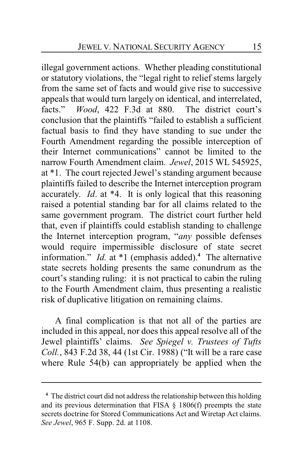illegal government actions. Whether pleading constitutional or statutory violations, the "legal right to relief stems largely from the same set of facts and would give rise to successive appeals that would turn largely on identical, and interrelated, facts." *Wood*, 422 F.3d at 880. The district court's conclusion that the plaintiffs "failed to establish a sufficient factual basis to find they have standing to sue under the Fourth Amendment regarding the possible interception of their Internet communications" cannot be limited to the narrow Fourth Amendment claim. *Jewel*, 2015 WL 545925, at \*1. The court rejected Jewel's standing argument because plaintiffs failed to describe the Internet interception program accurately. *Id*. at \*4. It is only logical that this reasoning raised a potential standing bar for all claims related to the same government program. The district court further held that, even if plaintiffs could establish standing to challenge the Internet interception program, "*any* possible defenses would require impermissible disclosure of state secret information." *Id.* at \*1 (emphasis added).**<sup>4</sup>** The alternative state secrets holding presents the same conundrum as the court's standing ruling: it is not practical to cabin the ruling to the Fourth Amendment claim, thus presenting a realistic risk of duplicative litigation on remaining claims.

A final complication is that not all of the parties are included in this appeal, nor does this appeal resolve all of the Jewel plaintiffs' claims. *See Spiegel v. Trustees of Tufts Coll.*, 843 F.2d 38, 44 (1st Cir. 1988) ("It will be a rare case where Rule 54(b) can appropriately be applied when the

**<sup>4</sup>** The district court did not address the relationship between this holding and its previous determination that FISA  $\S$  1806(f) preempts the state secrets doctrine for Stored Communications Act and Wiretap Act claims. *See Jewel*, 965 F. Supp. 2d. at 1108.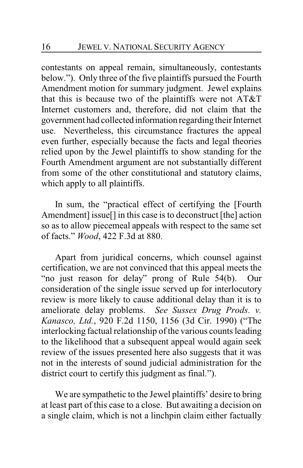contestants on appeal remain, simultaneously, contestants below."). Only three of the five plaintiffs pursued the Fourth Amendment motion for summary judgment. Jewel explains that this is because two of the plaintiffs were not AT&T Internet customers and, therefore, did not claim that the government had collected information regarding their Internet use. Nevertheless, this circumstance fractures the appeal even further, especially because the facts and legal theories relied upon by the Jewel plaintiffs to show standing for the Fourth Amendment argument are not substantially different from some of the other constitutional and statutory claims, which apply to all plaintiffs.

In sum, the "practical effect of certifying the [Fourth Amendment] issue[] in this case is to deconstruct [the] action so as to allow piecemeal appeals with respect to the same set of facts." *Wood*, 422 F.3d at 880.

Apart from juridical concerns, which counsel against certification, we are not convinced that this appeal meets the "no just reason for delay" prong of Rule 54(b). Our consideration of the single issue served up for interlocutory review is more likely to cause additional delay than it is to ameliorate delay problems. *See Sussex Drug Prods. v. Kanasco, Ltd.*, 920 F.2d 1150, 1156 (3d Cir. 1990) ("The interlocking factual relationship of the various counts leading to the likelihood that a subsequent appeal would again seek review of the issues presented here also suggests that it was not in the interests of sound judicial administration for the district court to certify this judgment as final.").

We are sympathetic to the Jewel plaintiffs' desire to bring at least part of this case to a close. But awaiting a decision on a single claim, which is not a linchpin claim either factually